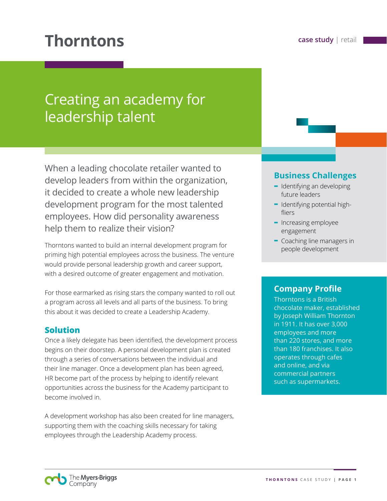# **Thorntons case study** | retail

# Creating an academy for leadership talent

When a leading chocolate retailer wanted to develop leaders from within the organization, it decided to create a whole new leadership development program for the most talented employees. How did personality awareness help them to realize their vision?

Thorntons wanted to build an internal development program for priming high potential employees across the business. The venture would provide personal leadership growth and career support, with a desired outcome of greater engagement and motivation.

For those earmarked as rising stars the company wanted to roll out a program across all levels and all parts of the business. To bring this about it was decided to create a Leadership Academy.

### **Solution**

Once a likely delegate has been identified, the development process begins on their doorstep. A personal development plan is created through a series of conversations between the individual and their line manager. Once a development plan has been agreed, HR become part of the process by helping to identify relevant opportunities across the business for the Academy participant to become involved in.

A development workshop has also been created for line managers, supporting them with the coaching skills necessary for taking employees through the Leadership Academy process.

## **Business Challenges**

- **-** Identifying an developing future leaders
- **-** Identifying potential highfliers
- **-** Increasing employee engagement
- **-** Coaching line managers in people development

### **Company Profile**

Thorntons is a British chocolate maker, established by Joseph William Thornton in 1911. It has over 3,000 employees and more than 220 stores, and more than 180 franchises. It also operates through cafes and online, and via commercial partners such as supermarkets.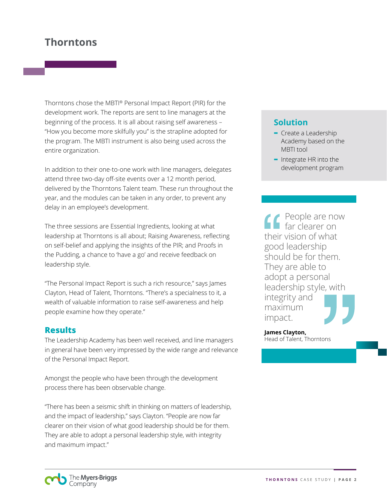# **Thorntons**

Thorntons chose the MBTI® Personal Impact Report (PIR) for the development work. The reports are sent to line managers at the beginning of the process. It is all about raising self awareness – "How you become more skilfully you" is the strapline adopted for the program. The MBTI instrument is also being used across the entire organization.

In addition to their one-to-one work with line managers, delegates attend three two-day off-site events over a 12 month period, delivered by the Thorntons Talent team. These run throughout the year, and the modules can be taken in any order, to prevent any delay in an employee's development.

The three sessions are Essential Ingredients, looking at what leadership at Thorntons is all about; Raising Awareness, reflecting on self-belief and applying the insights of the PIR; and Proofs in the Pudding, a chance to 'have a go' and receive feedback on leadership style.

"The Personal Impact Report is such a rich resource," says James Clayton, Head of Talent, Thorntons. "There's a specialness to it, a wealth of valuable information to raise self-awareness and help people examine how they operate."

#### **Results**

The Leadership Academy has been well received, and line managers in general have been very impressed by the wide range and relevance of the Personal Impact Report.

Amongst the people who have been through the development process there has been observable change.

"There has been a seismic shift in thinking on matters of leadership, and the impact of leadership," says Clayton. "People are now far clearer on their vision of what good leadership should be for them. They are able to adopt a personal leadership style, with integrity and maximum impact."

# **Solution**

- **-** Create a Leadership Academy based on the MBTI tool
- **-** Integrate HR into the development program

People are now far clearer on their vision of what good leadership should be for them. They are able to adopt a personal leadership style, with integrity and maximum impact.

**James Clayton,** Head of Talent, Thorntons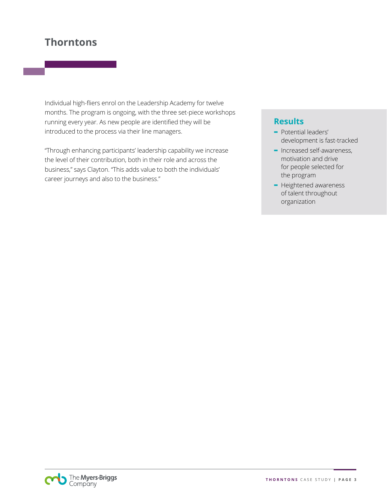# **Thorntons**

Individual high-fliers enrol on the Leadership Academy for twelve months. The program is ongoing, with the three set-piece workshops running every year. As new people are identified they will be introduced to the process via their line managers.

"Through enhancing participants' leadership capability we increase the level of their contribution, both in their role and across the business," says Clayton. "This adds value to both the individuals' career journeys and also to the business."

## **Results**

- **-** Potential leaders' development is fast-tracked
- **-** Increased self-awareness, motivation and drive for people selected for the program
- **-** Heightened awareness of talent throughout organization